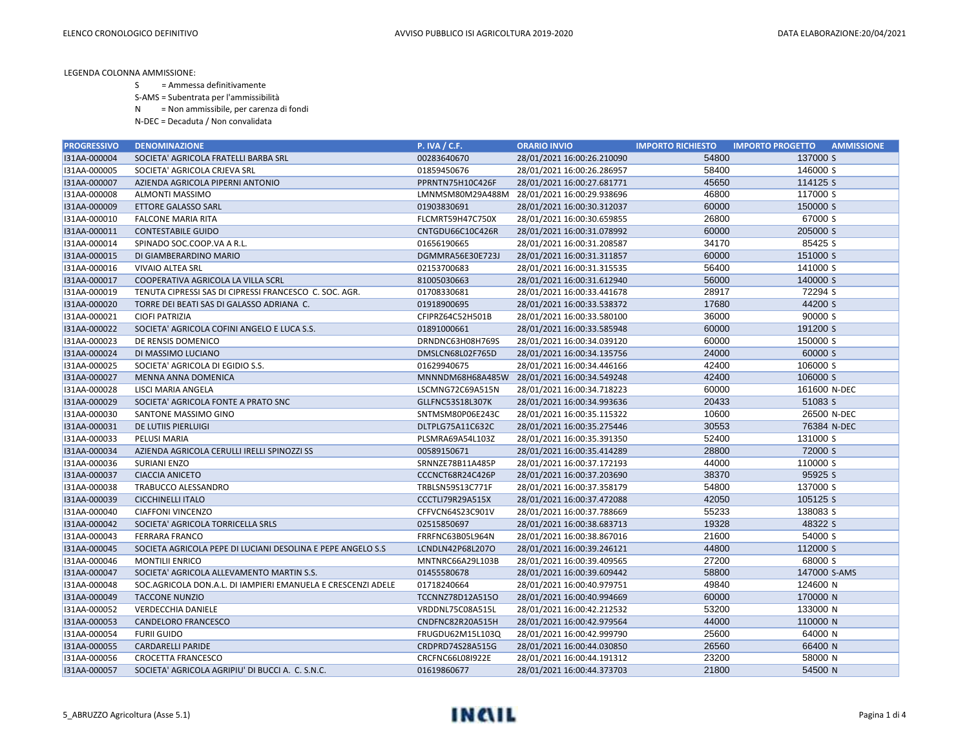S = Ammessa definitivamente

S-AMS = Subentrata per l'ammissibilità

N = Non ammissibile, per carenza di fondi

N-DEC = Decaduta / Non convalidata

| <b>PROGRESSIVO</b> | <b>DENOMINAZIONE</b>                                         | <b>P. IVA / C.F.</b> | <b>ORARIO INVIO</b>        | <b>IMPORTO RICHIESTO</b> | <b>IMPORTO PROGETTO</b><br><b>AMMISSIONE</b> |
|--------------------|--------------------------------------------------------------|----------------------|----------------------------|--------------------------|----------------------------------------------|
| I31AA-000004       | SOCIETA' AGRICOLA FRATELLI BARBA SRL                         | 00283640670          | 28/01/2021 16:00:26.210090 | 54800                    | 137000 S                                     |
| I31AA-000005       | SOCIETA' AGRICOLA CRJEVA SRL                                 | 01859450676          | 28/01/2021 16:00:26.286957 | 58400                    | 146000 S                                     |
| I31AA-000007       | AZIENDA AGRICOLA PIPERNI ANTONIO                             | PPRNTN75H10C426F     | 28/01/2021 16:00:27.681771 | 45650                    | 114125 S                                     |
| I31AA-000008       | ALMONTI MASSIMO                                              | LMNMSM80M29A488M     | 28/01/2021 16:00:29.938696 | 46800                    | 117000 S                                     |
| I31AA-000009       | ETTORE GALASSO SARL                                          | 01903830691          | 28/01/2021 16:00:30.312037 | 60000                    | 150000 S                                     |
| I31AA-000010       | <b>FALCONE MARIA RITA</b>                                    | FLCMRT59H47C750X     | 28/01/2021 16:00:30.659855 | 26800                    | 67000 S                                      |
| I31AA-000011       | <b>CONTESTABILE GUIDO</b>                                    | CNTGDU66C10C426R     | 28/01/2021 16:00:31.078992 | 60000                    | 205000 S                                     |
| I31AA-000014       | SPINADO SOC.COOP.VA A R.L.                                   | 01656190665          | 28/01/2021 16:00:31.208587 | 34170                    | 85425 S                                      |
| I31AA-000015       | DI GIAMBERARDINO MARIO                                       | DGMMRA56E30E723J     | 28/01/2021 16:00:31.311857 | 60000                    | 151000 S                                     |
| I31AA-000016       | <b>VIVAIO ALTEA SRL</b>                                      | 02153700683          | 28/01/2021 16:00:31.315535 | 56400                    | 141000 S                                     |
| I31AA-000017       | COOPERATIVA AGRICOLA LA VILLA SCRL                           | 81005030663          | 28/01/2021 16:00:31.612940 | 56000                    | 140000 S                                     |
| I31AA-000019       | TENUTA CIPRESSI SAS DI CIPRESSI FRANCESCO C. SOC. AGR.       | 01708330681          | 28/01/2021 16:00:33.441678 | 28917                    | 72294 S                                      |
| I31AA-000020       | TORRE DEI BEATI SAS DI GALASSO ADRIANA C.                    | 01918900695          | 28/01/2021 16:00:33.538372 | 17680                    | 44200 S                                      |
| I31AA-000021       | <b>CIOFI PATRIZIA</b>                                        | CFIPRZ64C52H501B     | 28/01/2021 16:00:33.580100 | 36000                    | 90000 S                                      |
| I31AA-000022       | SOCIETA' AGRICOLA COFINI ANGELO E LUCA S.S.                  | 01891000661          | 28/01/2021 16:00:33.585948 | 60000                    | 191200 S                                     |
| I31AA-000023       | DE RENSIS DOMENICO                                           | DRNDNC63H08H769S     | 28/01/2021 16:00:34.039120 | 60000                    | 150000 S                                     |
| I31AA-000024       | DI MASSIMO LUCIANO                                           | DMSLCN68L02F765D     | 28/01/2021 16:00:34.135756 | 24000                    | 60000 S                                      |
| I31AA-000025       | SOCIETA' AGRICOLA DI EGIDIO S.S.                             | 01629940675          | 28/01/2021 16:00:34.446166 | 42400                    | 106000 S                                     |
| I31AA-000027       | MENNA ANNA DOMENICA                                          | MNNNDM68H68A485W     | 28/01/2021 16:00:34.549248 | 42400                    | 106000 S                                     |
| I31AA-000028       | LISCI MARIA ANGELA                                           | LSCMNG72C69A515N     | 28/01/2021 16:00:34.718223 | 60000                    | 161600 N-DEC                                 |
| I31AA-000029       | SOCIETA' AGRICOLA FONTE A PRATO SNC                          | GLLFNC53S18L307K     | 28/01/2021 16:00:34.993636 | 20433                    | 51083 S                                      |
| I31AA-000030       | SANTONE MASSIMO GINO                                         | SNTMSM80P06E243C     | 28/01/2021 16:00:35.115322 | 10600                    | 26500 N-DEC                                  |
| I31AA-000031       | DE LUTIIS PIERLUIGI                                          | DLTPLG75A11C632C     | 28/01/2021 16:00:35.275446 | 30553                    | 76384 N-DEC                                  |
| I31AA-000033       | PELUSI MARIA                                                 | PLSMRA69A54L103Z     | 28/01/2021 16:00:35.391350 | 52400                    | 131000 S                                     |
| I31AA-000034       | AZIENDA AGRICOLA CERULLI IRELLI SPINOZZI SS                  | 00589150671          | 28/01/2021 16:00:35.414289 | 28800                    | 72000 S                                      |
| I31AA-000036       | <b>SURIANI ENZO</b>                                          | SRNNZE78B11A485P     | 28/01/2021 16:00:37.172193 | 44000                    | 110000 S                                     |
| I31AA-000037       | <b>CIACCIA ANICETO</b>                                       | CCCNCT68R24C426P     | 28/01/2021 16:00:37.203690 | 38370                    | 95925 S                                      |
| I31AA-000038       | TRABUCCO ALESSANDRO                                          | TRBLSN59S13C771F     | 28/01/2021 16:00:37.358179 | 54800                    | 137000 S                                     |
| I31AA-000039       | <b>CICCHINELLI ITALO</b>                                     | CCCTLI79R29A515X     | 28/01/2021 16:00:37.472088 | 42050                    | 105125 S                                     |
| I31AA-000040       | <b>CIAFFONI VINCENZO</b>                                     | CFFVCN64S23C901V     | 28/01/2021 16:00:37.788669 | 55233                    | 138083 S                                     |
| I31AA-000042       | SOCIETA' AGRICOLA TORRICELLA SRLS                            | 02515850697          | 28/01/2021 16:00:38.683713 | 19328                    | 48322 S                                      |
| I31AA-000043       | <b>FERRARA FRANCO</b>                                        | FRRFNC63B05L964N     | 28/01/2021 16:00:38.867016 | 21600                    | 54000 S                                      |
| I31AA-000045       | SOCIETA AGRICOLA PEPE DI LUCIANI DESOLINA E PEPE ANGELO S.S  | LCNDLN42P68L207O     | 28/01/2021 16:00:39.246121 | 44800                    | 112000 S                                     |
| I31AA-000046       | <b>MONTILII ENRICO</b>                                       | MNTNRC66A29L103B     | 28/01/2021 16:00:39.409565 | 27200                    | 68000 S                                      |
| I31AA-000047       | SOCIETA' AGRICOLA ALLEVAMENTO MARTIN S.S.                    | 01455580678          | 28/01/2021 16:00:39.609442 | 58800                    | 147000 S-AMS                                 |
| I31AA-000048       | SOC.AGRICOLA DON.A.L. DI IAMPIERI EMANUELA E CRESCENZI ADELE | 01718240664          | 28/01/2021 16:00:40.979751 | 49840                    | 124600 N                                     |
| I31AA-000049       | <b>TACCONE NUNZIO</b>                                        | TCCNNZ78D12A515O     | 28/01/2021 16:00:40.994669 | 60000                    | 170000 N                                     |
| I31AA-000052       | <b>VERDECCHIA DANIELE</b>                                    | VRDDNL75C08A515L     | 28/01/2021 16:00:42.212532 | 53200                    | 133000 N                                     |
| I31AA-000053       | <b>CANDELORO FRANCESCO</b>                                   | CNDFNC82R20A515H     | 28/01/2021 16:00:42.979564 | 44000                    | 110000 N                                     |
| I31AA-000054       | <b>FURII GUIDO</b>                                           | FRUGDU62M15L103Q     | 28/01/2021 16:00:42.999790 | 25600                    | 64000 N                                      |
| I31AA-000055       | <b>CARDARELLI PARIDE</b>                                     | CRDPRD74S28A515G     | 28/01/2021 16:00:44.030850 | 26560                    | 66400 N                                      |
| I31AA-000056       | <b>CROCETTA FRANCESCO</b>                                    | CRCFNC66L08I922E     | 28/01/2021 16:00:44.191312 | 23200                    | 58000 N                                      |
| I31AA-000057       | SOCIETA' AGRICOLA AGRIPIU' DI BUCCI A. C. S.N.C.             | 01619860677          | 28/01/2021 16:00:44.373703 | 21800                    | 54500 N                                      |

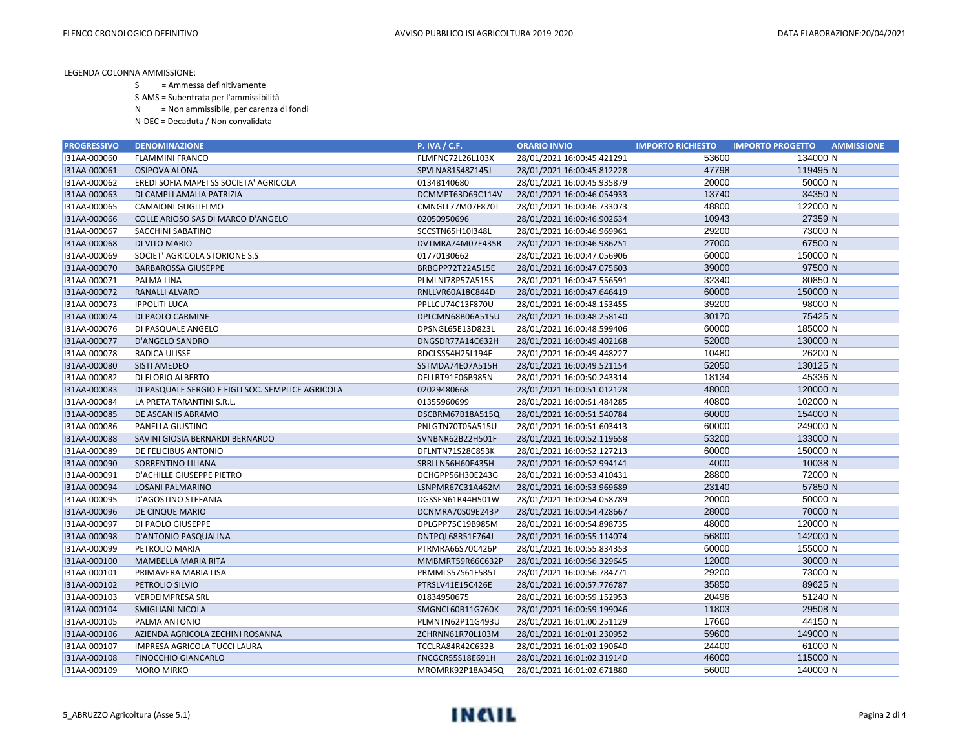- S = Ammessa definitivamente
- S-AMS = Subentrata per l'ammissibilità
- N = Non ammissibile, per carenza di fondi
- N-DEC = Decaduta / Non convalidata

| <b>PROGRESSIVO</b> | <b>DENOMINAZIONE</b>                              | <b>P. IVA / C.F.</b> | <b>ORARIO INVIO</b>        | <b>IMPORTO RICHIESTO</b> | <b>IMPORTO PROGETTO</b><br><b>AMMISSIONE</b> |
|--------------------|---------------------------------------------------|----------------------|----------------------------|--------------------------|----------------------------------------------|
| I31AA-000060       | <b>FLAMMINI FRANCO</b>                            | FLMFNC72L26L103X     | 28/01/2021 16:00:45.421291 | 53600                    | 134000 N                                     |
| I31AA-000061       | <b>OSIPOVA ALONA</b>                              | SPVLNA81S48Z145J     | 28/01/2021 16:00:45.812228 | 47798                    | 119495 N                                     |
| I31AA-000062       | EREDI SOFIA MAPEI SS SOCIETA' AGRICOLA            | 01348140680          | 28/01/2021 16:00:45.935879 | 20000                    | 50000 N                                      |
| I31AA-000063       | DI CAMPLI AMALIA PATRIZIA                         | DCMMPT63D69C114V     | 28/01/2021 16:00:46.054933 | 13740                    | 34350 N                                      |
| I31AA-000065       | <b>CAMAIONI GUGLIELMO</b>                         | CMNGLL77M07F870T     | 28/01/2021 16:00:46.733073 | 48800                    | 122000 N                                     |
| I31AA-000066       | COLLE ARIOSO SAS DI MARCO D'ANGELO                | 02050950696          | 28/01/2021 16:00:46.902634 | 10943                    | 27359 N                                      |
| I31AA-000067       | SACCHINI SABATINO                                 | SCCSTN65H10I348L     | 28/01/2021 16:00:46.969961 | 29200                    | 73000 N                                      |
| I31AA-000068       | DI VITO MARIO                                     | DVTMRA74M07E435R     | 28/01/2021 16:00:46.986251 | 27000                    | 67500 N                                      |
| I31AA-000069       | SOCIET' AGRICOLA STORIONE S.S                     | 01770130662          | 28/01/2021 16:00:47.056906 | 60000                    | 150000 N                                     |
| I31AA-000070       | <b>BARBAROSSA GIUSEPPE</b>                        | BRBGPP72T22A515E     | 28/01/2021 16:00:47.075603 | 39000                    | 97500 N                                      |
| I31AA-000071       | PALMA LINA                                        | PLMLNI78P57A515S     | 28/01/2021 16:00:47.556591 | 32340                    | 80850 N                                      |
| I31AA-000072       | <b>RANALLI ALVARO</b>                             | RNLLVR60A18C844D     | 28/01/2021 16:00:47.646419 | 60000                    | 150000 N                                     |
| I31AA-000073       | <b>IPPOLITI LUCA</b>                              | PPLLCU74C13F870U     | 28/01/2021 16:00:48.153455 | 39200                    | 98000 N                                      |
| I31AA-000074       | DI PAOLO CARMINE                                  | DPLCMN68B06A515U     | 28/01/2021 16:00:48.258140 | 30170                    | 75425 N                                      |
| I31AA-000076       | DI PASQUALE ANGELO                                | DPSNGL65E13D823L     | 28/01/2021 16:00:48.599406 | 60000                    | 185000 N                                     |
| I31AA-000077       | D'ANGELO SANDRO                                   | DNGSDR77A14C632H     | 28/01/2021 16:00:49.402168 | 52000                    | 130000 N                                     |
| I31AA-000078       | RADICA ULISSE                                     | RDCLSS54H25L194F     | 28/01/2021 16:00:49.448227 | 10480                    | 26200 N                                      |
| I31AA-000080       | <b>SISTI AMEDEO</b>                               | SSTMDA74E07A515H     | 28/01/2021 16:00:49.521154 | 52050                    | 130125 N                                     |
| I31AA-000082       | DI FLORIO ALBERTO                                 | DFLLRT91E06B985N     | 28/01/2021 16:00:50.243314 | 18134                    | 45336 N                                      |
| I31AA-000083       | DI PASQUALE SERGIO E FIGLI SOC. SEMPLICE AGRICOLA | 02029480668          | 28/01/2021 16:00:51.012128 | 48000                    | 120000 N                                     |
| I31AA-000084       | LA PRETA TARANTINI S.R.L.                         | 01355960699          | 28/01/2021 16:00:51.484285 | 40800                    | 102000 N                                     |
| I31AA-000085       | DE ASCANIIS ABRAMO                                | DSCBRM67B18A515Q     | 28/01/2021 16:00:51.540784 | 60000                    | 154000 N                                     |
| I31AA-000086       | PANELLA GIUSTINO                                  | PNLGTN70T05A515U     | 28/01/2021 16:00:51.603413 | 60000                    | 249000 N                                     |
| I31AA-000088       | SAVINI GIOSIA BERNARDI BERNARDO                   | SVNBNR62B22H501F     | 28/01/2021 16:00:52.119658 | 53200                    | 133000 N                                     |
| I31AA-000089       | DE FELICIBUS ANTONIO                              | DFLNTN71S28C853K     | 28/01/2021 16:00:52.127213 | 60000                    | 150000 N                                     |
| I31AA-000090       | SORRENTINO LILIANA                                | SRRLLN56H60E435H     | 28/01/2021 16:00:52.994141 | 4000                     | 10038 N                                      |
| I31AA-000091       | D'ACHILLE GIUSEPPE PIETRO                         | DCHGPP56H30E243G     | 28/01/2021 16:00:53.410431 | 28800                    | 72000 N                                      |
| I31AA-000094       | LOSANI PALMARINO                                  | LSNPMR67C31A462M     | 28/01/2021 16:00:53.969689 | 23140                    | 57850 N                                      |
| I31AA-000095       | D'AGOSTINO STEFANIA                               | DGSSFN61R44H501W     | 28/01/2021 16:00:54.058789 | 20000                    | 50000 N                                      |
| I31AA-000096       | DE CINQUE MARIO                                   | DCNMRA70S09E243P     | 28/01/2021 16:00:54.428667 | 28000                    | 70000 N                                      |
| I31AA-000097       | DI PAOLO GIUSEPPE                                 | DPLGPP75C19B985M     | 28/01/2021 16:00:54.898735 | 48000                    | 120000 N                                     |
| I31AA-000098       | D'ANTONIO PASQUALINA                              | DNTPQL68R51F764J     | 28/01/2021 16:00:55.114074 | 56800                    | 142000 N                                     |
| I31AA-000099       | PETROLIO MARIA                                    | PTRMRA66S70C426P     | 28/01/2021 16:00:55.834353 | 60000                    | 155000 N                                     |
| I31AA-000100       | <b>MAMBELLA MARIA RITA</b>                        | MMBMRT59R66C632P     | 28/01/2021 16:00:56.329645 | 12000                    | 30000 N                                      |
| I31AA-000101       | PRIMAVERA MARIA LISA                              | PRMMLS57S61F585T     | 28/01/2021 16:00:56.784771 | 29200                    | 73000 N                                      |
| I31AA-000102       | PETROLIO SILVIO                                   | PTRSLV41E15C426E     | 28/01/2021 16:00:57.776787 | 35850                    | 89625 N                                      |
| I31AA-000103       | <b>VERDEIMPRESA SRL</b>                           | 01834950675          | 28/01/2021 16:00:59.152953 | 20496                    | 51240 N                                      |
| I31AA-000104       | SMIGLIANI NICOLA                                  | SMGNCL60B11G760K     | 28/01/2021 16:00:59.199046 | 11803                    | 29508 N                                      |
| I31AA-000105       | PALMA ANTONIO                                     | PLMNTN62P11G493U     | 28/01/2021 16:01:00.251129 | 17660                    | 44150 N                                      |
| I31AA-000106       | AZIENDA AGRICOLA ZECHINI ROSANNA                  | ZCHRNN61R70L103M     | 28/01/2021 16:01:01.230952 | 59600                    | 149000 N                                     |
| I31AA-000107       | IMPRESA AGRICOLA TUCCI LAURA                      | TCCLRA84R42C632B     | 28/01/2021 16:01:02.190640 | 24400                    | 61000 N                                      |
| I31AA-000108       | <b>FINOCCHIO GIANCARLO</b>                        | FNCGCR55S18E691H     | 28/01/2021 16:01:02.319140 | 46000                    | 115000 N                                     |
| I31AA-000109       | <b>MORO MIRKO</b>                                 | MROMRK92P18A345Q     | 28/01/2021 16:01:02.671880 | 56000                    | 140000 N                                     |

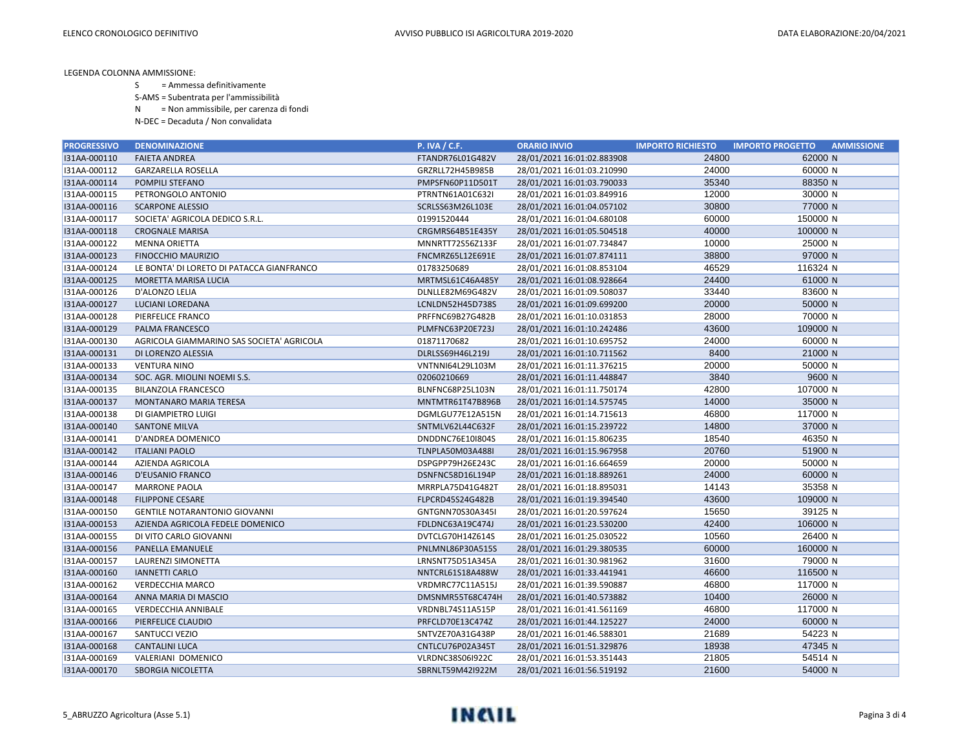- S = Ammessa definitivamente
- S-AMS = Subentrata per l'ammissibilità
- N = Non ammissibile, per carenza di fondi
- N-DEC = Decaduta / Non convalidata

| <b>PROGRESSIVO</b> | <b>DENOMINAZIONE</b>                      | <b>P. IVA / C.F.</b>    | <b>ORARIO INVIO</b>        | <b>IMPORTO RICHIESTO</b> | <b>IMPORTO PROGETTO</b><br><b>AMMISSIONE</b> |
|--------------------|-------------------------------------------|-------------------------|----------------------------|--------------------------|----------------------------------------------|
| I31AA-000110       | <b>FAIETA ANDREA</b>                      | FTANDR76L01G482V        | 28/01/2021 16:01:02.883908 | 24800                    | 62000 N                                      |
| I31AA-000112       | <b>GARZARELLA ROSELLA</b>                 | GRZRLL72H45B985B        | 28/01/2021 16:01:03.210990 | 24000                    | 60000 N                                      |
| I31AA-000114       | POMPILI STEFANO                           | PMPSFN60P11D501T        | 28/01/2021 16:01:03.790033 | 35340                    | 88350 N                                      |
| I31AA-000115       | PETRONGOLO ANTONIO                        | PTRNTN61A01C632I        | 28/01/2021 16:01:03.849916 | 12000                    | 30000 N                                      |
| I31AA-000116       | <b>SCARPONE ALESSIO</b>                   | SCRLSS63M26L103E        | 28/01/2021 16:01:04.057102 | 30800                    | 77000 N                                      |
| I31AA-000117       | SOCIETA' AGRICOLA DEDICO S.R.L.           | 01991520444             | 28/01/2021 16:01:04.680108 | 60000                    | 150000 N                                     |
| I31AA-000118       | <b>CROGNALE MARISA</b>                    | CRGMRS64B51E435Y        | 28/01/2021 16:01:05.504518 | 40000                    | 100000 N                                     |
| I31AA-000122       | <b>MENNA ORIETTA</b>                      | MNNRTT72S56Z133F        | 28/01/2021 16:01:07.734847 | 10000                    | 25000 N                                      |
| I31AA-000123       | FINOCCHIO MAURIZIO                        | FNCMRZ65L12E691E        | 28/01/2021 16:01:07.874111 | 38800                    | 97000 N                                      |
| I31AA-000124       | LE BONTA' DI LORETO DI PATACCA GIANFRANCO | 01783250689             | 28/01/2021 16:01:08.853104 | 46529                    | 116324 N                                     |
| I31AA-000125       | MORETTA MARISA LUCIA                      | MRTMSL61C46A485Y        | 28/01/2021 16:01:08.928664 | 24400                    | 61000 N                                      |
| I31AA-000126       | D'ALONZO LELIA                            | DLNLLE82M69G482V        | 28/01/2021 16:01:09.508037 | 33440                    | 83600 N                                      |
| I31AA-000127       | LUCIANI LOREDANA                          | LCNLDN52H45D738S        | 28/01/2021 16:01:09.699200 | 20000                    | 50000 N                                      |
| I31AA-000128       | PIERFELICE FRANCO                         | PRFFNC69B27G482B        | 28/01/2021 16:01:10.031853 | 28000                    | 70000 N                                      |
| I31AA-000129       | PALMA FRANCESCO                           | PLMFNC63P20E723J        | 28/01/2021 16:01:10.242486 | 43600                    | 109000 N                                     |
| I31AA-000130       | AGRICOLA GIAMMARINO SAS SOCIETA' AGRICOLA | 01871170682             | 28/01/2021 16:01:10.695752 | 24000                    | 60000 N                                      |
| I31AA-000131       | DI LORENZO ALESSIA                        | DLRLSS69H46L219J        | 28/01/2021 16:01:10.711562 | 8400                     | 21000 N                                      |
| I31AA-000133       | <b>VENTURA NINO</b>                       | VNTNNI64L29L103M        | 28/01/2021 16:01:11.376215 | 20000                    | 50000 N                                      |
| I31AA-000134       | SOC. AGR. MIOLINI NOEMI S.S.              | 02060210669             | 28/01/2021 16:01:11.448847 | 3840                     | 9600 N                                       |
| I31AA-000135       | <b>BILANZOLA FRANCESCO</b>                | BLNFNC68P25L103N        | 28/01/2021 16:01:11.750174 | 42800                    | 107000 N                                     |
| I31AA-000137       | MONTANARO MARIA TERESA                    | MNTMTR61T47B896B        | 28/01/2021 16:01:14.575745 | 14000                    | 35000 N                                      |
| I31AA-000138       | DI GIAMPIETRO LUIGI                       | DGMLGU77E12A515N        | 28/01/2021 16:01:14.715613 | 46800                    | 117000 N                                     |
| I31AA-000140       | <b>SANTONE MILVA</b>                      | SNTMLV62L44C632F        | 28/01/2021 16:01:15.239722 | 14800                    | 37000 N                                      |
| I31AA-000141       | D'ANDREA DOMENICO                         | DNDDNC76E10I804S        | 28/01/2021 16:01:15.806235 | 18540                    | 46350 N                                      |
| I31AA-000142       | <b>ITALIANI PAOLO</b>                     | TLNPLA50M03A488I        | 28/01/2021 16:01:15.967958 | 20760                    | 51900 N                                      |
| I31AA-000144       | AZIENDA AGRICOLA                          | DSPGPP79H26E243C        | 28/01/2021 16:01:16.664659 | 20000                    | 50000 N                                      |
| I31AA-000146       | D'EUSANIO FRANCO                          | DSNFNC58D16L194P        | 28/01/2021 16:01:18.889261 | 24000                    | 60000 N                                      |
| I31AA-000147       | <b>MARRONE PAOLA</b>                      | MRRPLA75D41G482T        | 28/01/2021 16:01:18.895031 | 14143                    | 35358 N                                      |
| I31AA-000148       | <b>FILIPPONE CESARE</b>                   | FLPCRD45S24G482B        | 28/01/2021 16:01:19.394540 | 43600                    | 109000 N                                     |
| I31AA-000150       | <b>GENTILE NOTARANTONIO GIOVANNI</b>      | GNTGNN70S30A345I        | 28/01/2021 16:01:20.597624 | 15650                    | 39125 N                                      |
| I31AA-000153       | AZIENDA AGRICOLA FEDELE DOMENICO          | FDLDNC63A19C474J        | 28/01/2021 16:01:23.530200 | 42400                    | 106000 N                                     |
| I31AA-000155       | DI VITO CARLO GIOVANNI                    | DVTCLG70H14Z614S        | 28/01/2021 16:01:25.030522 | 10560                    | 26400 N                                      |
| I31AA-000156       | PANELLA EMANUELE                          | PNLMNL86P30A515S        | 28/01/2021 16:01:29.380535 | 60000                    | 160000 N                                     |
| I31AA-000157       | LAURENZI SIMONETTA                        | LRNSNT75D51A345A        | 28/01/2021 16:01:30.981962 | 31600                    | 79000 N                                      |
| I31AA-000160       | <b>IANNETTI CARLO</b>                     | NNTCRL61S18A488W        | 28/01/2021 16:01:33.441941 | 46600                    | 116500 N                                     |
| I31AA-000162       | <b>VERDECCHIA MARCO</b>                   | VRDMRC77C11A515J        | 28/01/2021 16:01:39.590887 | 46800                    | 117000 N                                     |
| I31AA-000164       | ANNA MARIA DI MASCIO                      | DMSNMR55T68C474H        | 28/01/2021 16:01:40.573882 | 10400                    | 26000 N                                      |
| I31AA-000165       | <b>VERDECCHIA ANNIBALE</b>                | VRDNBL74S11A515P        | 28/01/2021 16:01:41.561169 | 46800                    | 117000 N                                     |
| I31AA-000166       | PIERFELICE CLAUDIO                        | PRFCLD70E13C474Z        | 28/01/2021 16:01:44.125227 | 24000                    | 60000 N                                      |
| I31AA-000167       | SANTUCCI VEZIO                            | SNTVZE70A31G438P        | 28/01/2021 16:01:46.588301 | 21689                    | 54223 N                                      |
| I31AA-000168       | <b>CANTALINI LUCA</b>                     | CNTLCU76P02A345T        | 28/01/2021 16:01:51.329876 | 18938                    | 47345 N                                      |
| I31AA-000169       | VALERIANI DOMENICO                        | <b>VLRDNC38S06I922C</b> | 28/01/2021 16:01:53.351443 | 21805                    | 54514 N                                      |
| I31AA-000170       | <b>SBORGIA NICOLETTA</b>                  | SBRNLT59M42I922M        | 28/01/2021 16:01:56.519192 | 21600                    | 54000 N                                      |